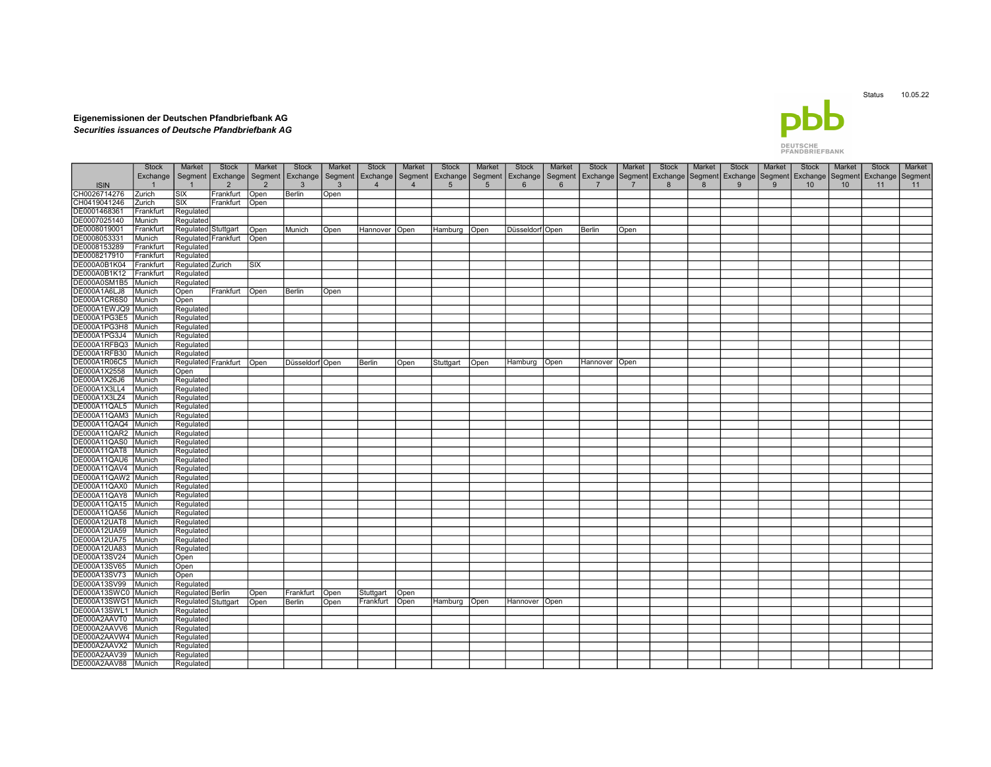## Db

## Eigenemissionen der Deutschen Pfandbriefbank AG Securities issuances of Deutsche Pfandbriefbank AG

## **DEUTSCHE**<br>PFANDBRIEFBANK

|                     | <b>Stock</b> | Market                  | <b>Stock</b>        | Market         | <b>Stock</b>    | Market  | <b>Stock</b>   | Market         | <b>Stock</b>    | Market          | <b>Stock</b>      | Market  | <b>Stock</b>    | Market         | <b>Stock</b> | Market | <b>Stock</b>                            | Market | <b>Stock</b>     | Market | <b>Stock</b> | Market  |
|---------------------|--------------|-------------------------|---------------------|----------------|-----------------|---------|----------------|----------------|-----------------|-----------------|-------------------|---------|-----------------|----------------|--------------|--------|-----------------------------------------|--------|------------------|--------|--------------|---------|
|                     | Exchange     | Segment                 | Exchange            | Segment        | Exchange        | Segment | Exchange       | Segment        | Exchange        | Segment         | Exchange          | Segment | Exchange        | Segment        |              |        | Exchange   Segment   Exchange   Segment |        | Exchange Segment |        | Exchange     | Segment |
| <b>ISIN</b>         |              | $\mathbf{1}$            | $\overline{2}$      | $\overline{2}$ | 3               | 3       | $\overline{4}$ | $\overline{4}$ | $5\phantom{.0}$ | $5\phantom{.0}$ | 6                 | 6       | $\overline{7}$  | $\overline{7}$ | 8            | 8      | 9                                       | 9      | 10 <sup>°</sup>  | 10     | 11           | 11      |
| CH0026714276        | Zurich       | <b>SIX</b>              | Frankfurt           | Open           | Berlin          | Open    |                |                |                 |                 |                   |         |                 |                |              |        |                                         |        |                  |        |              |         |
| CH0419041246        | Zurich       | $\overline{\text{SIX}}$ | Frankfurt           | Open           |                 |         |                |                |                 |                 |                   |         |                 |                |              |        |                                         |        |                  |        |              |         |
| DE0001468361        | Frankfurt    | Regulated               |                     |                |                 |         |                |                |                 |                 |                   |         |                 |                |              |        |                                         |        |                  |        |              |         |
| DE0007025140        | Munich       | Regulated               |                     |                |                 |         |                |                |                 |                 |                   |         |                 |                |              |        |                                         |        |                  |        |              |         |
| DE0008019001        | Frankfurt    | Regulated Stuttgart     |                     | Open           | Munich          | Open    | Hannover       | Open           | Hamburg         | Open            | Düsseldorf   Open |         | Berlin          | Open           |              |        |                                         |        |                  |        |              |         |
| DE0008053331        | Munich       | Regulated Frankfurt     |                     | Open           |                 |         |                |                |                 |                 |                   |         |                 |                |              |        |                                         |        |                  |        |              |         |
| DE0008153289        | Frankfurt    | Regulated               |                     |                |                 |         |                |                |                 |                 |                   |         |                 |                |              |        |                                         |        |                  |        |              |         |
| DE0008217910        | Frankfurt    | Regulated               |                     |                |                 |         |                |                |                 |                 |                   |         |                 |                |              |        |                                         |        |                  |        |              |         |
| DE000A0B1K04        | Frankfurt    | Regulated Zurich        |                     | <b>SIX</b>     |                 |         |                |                |                 |                 |                   |         |                 |                |              |        |                                         |        |                  |        |              |         |
| DE000A0B1K12        | Frankfurt    | Regulated               |                     |                |                 |         |                |                |                 |                 |                   |         |                 |                |              |        |                                         |        |                  |        |              |         |
| DE000A0SM1B5        | Munich       |                         |                     |                |                 |         |                |                |                 |                 |                   |         |                 |                |              |        |                                         |        |                  |        |              |         |
|                     |              | Regulated               |                     |                |                 |         |                |                |                 |                 |                   |         |                 |                |              |        |                                         |        |                  |        |              |         |
| DE000A1A6LJ8        | Munich       | Open                    | Frankfurt           | Open           | Berlin          | Open    |                |                |                 |                 |                   |         |                 |                |              |        |                                         |        |                  |        |              |         |
| DE000A1CR6S0        | Munich       | Open                    |                     |                |                 |         |                |                |                 |                 |                   |         |                 |                |              |        |                                         |        |                  |        |              |         |
| DE000A1EWJQ9        | Munich       | Regulated               |                     |                |                 |         |                |                |                 |                 |                   |         |                 |                |              |        |                                         |        |                  |        |              |         |
| DE000A1PG3E5        | Munich       | Regulated               |                     |                |                 |         |                |                |                 |                 |                   |         |                 |                |              |        |                                         |        |                  |        |              |         |
| DE000A1PG3H8        | Munich       | Regulated               |                     |                |                 |         |                |                |                 |                 |                   |         |                 |                |              |        |                                         |        |                  |        |              |         |
| DE000A1PG3J4        | Munich       | Regulated               |                     |                |                 |         |                |                |                 |                 |                   |         |                 |                |              |        |                                         |        |                  |        |              |         |
| DE000A1RFBQ3        | Munich       | Regulated               |                     |                |                 |         |                |                |                 |                 |                   |         |                 |                |              |        |                                         |        |                  |        |              |         |
| DE000A1RFB30        | Munich       | Regulated               |                     |                |                 |         |                |                |                 |                 |                   |         |                 |                |              |        |                                         |        |                  |        |              |         |
| DE000A1R06C5        | Munich       |                         | Regulated Frankfurt | Open           | Düsseldorf Open |         | Berlin         | Open           | Stuttgart       | Open            | Hamburg           | Open    | Hannover   Open |                |              |        |                                         |        |                  |        |              |         |
| DE000A1X2558        | Munich       | Open                    |                     |                |                 |         |                |                |                 |                 |                   |         |                 |                |              |        |                                         |        |                  |        |              |         |
| DE000A1X26J6        | Munich       | Regulated               |                     |                |                 |         |                |                |                 |                 |                   |         |                 |                |              |        |                                         |        |                  |        |              |         |
| DE000A1X3LL4        | Munich       | Regulated               |                     |                |                 |         |                |                |                 |                 |                   |         |                 |                |              |        |                                         |        |                  |        |              |         |
| DE000A1X3LZ4        | Munich       | Regulated               |                     |                |                 |         |                |                |                 |                 |                   |         |                 |                |              |        |                                         |        |                  |        |              |         |
| DE000A11QAL5        | Munich       | Regulated               |                     |                |                 |         |                |                |                 |                 |                   |         |                 |                |              |        |                                         |        |                  |        |              |         |
| DE000A11QAM3        | Munich       | Regulated               |                     |                |                 |         |                |                |                 |                 |                   |         |                 |                |              |        |                                         |        |                  |        |              |         |
| DE000A11QAQ4        | l Munich     | Regulated               |                     |                |                 |         |                |                |                 |                 |                   |         |                 |                |              |        |                                         |        |                  |        |              |         |
| DE000A11QAR2        | Munich       | Regulated               |                     |                |                 |         |                |                |                 |                 |                   |         |                 |                |              |        |                                         |        |                  |        |              |         |
| DE000A11QAS0        | Munich       | Regulated               |                     |                |                 |         |                |                |                 |                 |                   |         |                 |                |              |        |                                         |        |                  |        |              |         |
| DE000A11QAT8        | Munich       | Regulated               |                     |                |                 |         |                |                |                 |                 |                   |         |                 |                |              |        |                                         |        |                  |        |              |         |
| DE000A11QAU6        | Munich       | Regulated               |                     |                |                 |         |                |                |                 |                 |                   |         |                 |                |              |        |                                         |        |                  |        |              |         |
| DE000A11QAV4        | Munich       | Regulated               |                     |                |                 |         |                |                |                 |                 |                   |         |                 |                |              |        |                                         |        |                  |        |              |         |
| DE000A11QAW2        | Munich       | Regulated               |                     |                |                 |         |                |                |                 |                 |                   |         |                 |                |              |        |                                         |        |                  |        |              |         |
| DE000A11QAX0        | Munich       | Regulated               |                     |                |                 |         |                |                |                 |                 |                   |         |                 |                |              |        |                                         |        |                  |        |              |         |
| DE000A11QAY8        | Munich       | Regulated               |                     |                |                 |         |                |                |                 |                 |                   |         |                 |                |              |        |                                         |        |                  |        |              |         |
| DE000A11QA15        | Munich       | Regulated               |                     |                |                 |         |                |                |                 |                 |                   |         |                 |                |              |        |                                         |        |                  |        |              |         |
| DE000A11QA56        | Munich       | Regulated               |                     |                |                 |         |                |                |                 |                 |                   |         |                 |                |              |        |                                         |        |                  |        |              |         |
| DE000A12UAT8        | Munich       | Regulated               |                     |                |                 |         |                |                |                 |                 |                   |         |                 |                |              |        |                                         |        |                  |        |              |         |
| DE000A12UA59        | Munich       |                         |                     |                |                 |         |                |                |                 |                 |                   |         |                 |                |              |        |                                         |        |                  |        |              |         |
| DE000A12UA75        | Munich       | Regulated<br>Regulated  |                     |                |                 |         |                |                |                 |                 |                   |         |                 |                |              |        |                                         |        |                  |        |              |         |
| DE000A12UA83        | Munich       | Regulated               |                     |                |                 |         |                |                |                 |                 |                   |         |                 |                |              |        |                                         |        |                  |        |              |         |
| DE000A13SV24        | Munich       |                         |                     |                |                 |         |                |                |                 |                 |                   |         |                 |                |              |        |                                         |        |                  |        |              |         |
| DE000A13SV65        |              | Open                    |                     |                |                 |         |                |                |                 |                 |                   |         |                 |                |              |        |                                         |        |                  |        |              |         |
|                     | Munich       | Open                    |                     |                |                 |         |                |                |                 |                 |                   |         |                 |                |              |        |                                         |        |                  |        |              |         |
| DE000A13SV73        | Munich       | Open                    |                     |                |                 |         |                |                |                 |                 |                   |         |                 |                |              |        |                                         |        |                  |        |              |         |
| DE000A13SV99        | Munich       | Regulated               |                     |                |                 |         |                |                |                 |                 |                   |         |                 |                |              |        |                                         |        |                  |        |              |         |
| DE000A13SWC0        | Munich       | Regulated Berlin        |                     | Open           | Frankfurt       | Open    | Stuttgart      | Open           |                 |                 |                   |         |                 |                |              |        |                                         |        |                  |        |              |         |
| DE000A13SWG1        | Munich       | Regulated Stuttgart     |                     | Open           | Berlin          | Open    | Frankfurl      | Open           | Hamburg         | Open            | Hannover Open     |         |                 |                |              |        |                                         |        |                  |        |              |         |
| DE000A13SWL1 Munich |              | Regulated               |                     |                |                 |         |                |                |                 |                 |                   |         |                 |                |              |        |                                         |        |                  |        |              |         |
| DE000A2AAVT0        | Munich       | Regulated               |                     |                |                 |         |                |                |                 |                 |                   |         |                 |                |              |        |                                         |        |                  |        |              |         |
| DE000A2AAVV6        | Munich       | Regulated               |                     |                |                 |         |                |                |                 |                 |                   |         |                 |                |              |        |                                         |        |                  |        |              |         |
| DE000A2AAVW4 Munich |              | Regulated               |                     |                |                 |         |                |                |                 |                 |                   |         |                 |                |              |        |                                         |        |                  |        |              |         |
| DE000A2AAVX2        | Munich       | Regulated               |                     |                |                 |         |                |                |                 |                 |                   |         |                 |                |              |        |                                         |        |                  |        |              |         |
| DE000A2AAV39        | Munich       | Regulated               |                     |                |                 |         |                |                |                 |                 |                   |         |                 |                |              |        |                                         |        |                  |        |              |         |
| DE000A2AAV88        | Munich       | Regulated               |                     |                |                 |         |                |                |                 |                 |                   |         |                 |                |              |        |                                         |        |                  |        |              |         |

Status 10.05.22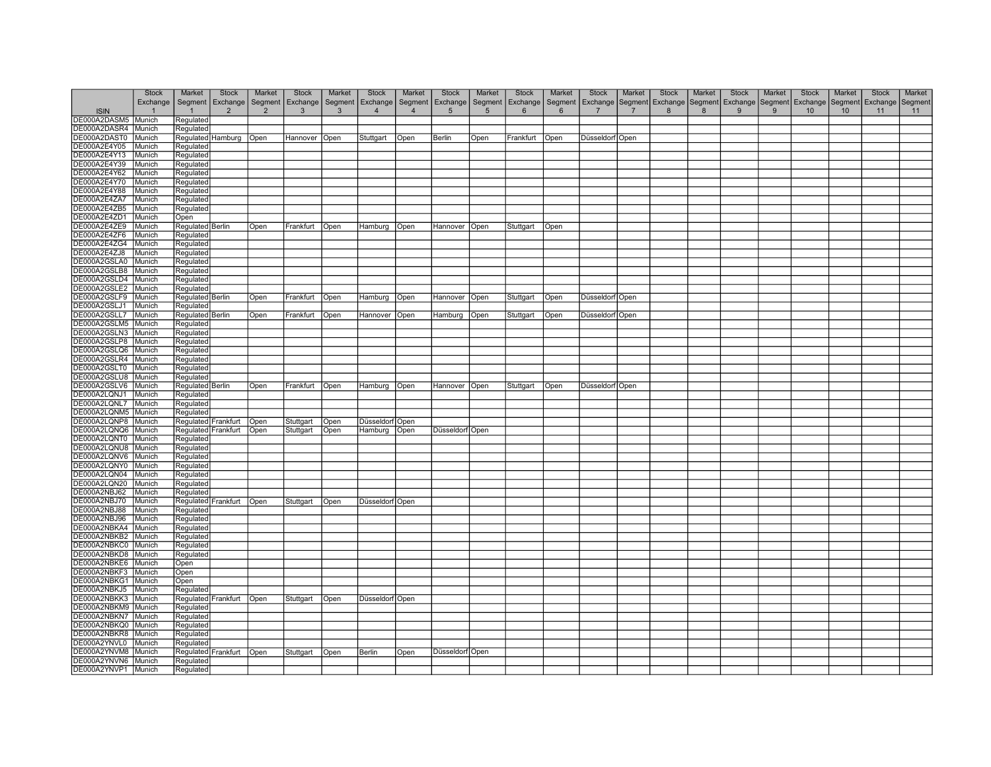|                       | <b>Stock</b> | Market             | <b>Stock</b>        | Market         | <b>Stock</b> | Market       | <b>Stock</b>      | Market  | <b>Stock</b>      | Market  | <b>Stock</b>   | Market  | <b>Stock</b>      | Market  | <b>Stock</b> | Market | <b>Stock</b>     | Market  | <b>Stock</b>    | Market  | <b>Stock</b>       | Market |
|-----------------------|--------------|--------------------|---------------------|----------------|--------------|--------------|-------------------|---------|-------------------|---------|----------------|---------|-------------------|---------|--------------|--------|------------------|---------|-----------------|---------|--------------------|--------|
|                       | Exchange     | Segment            | Exchange            | Segment        | Exchange     | Segment      | <b>Exchange</b>   | Segment | Exchange          | Segment | Exchange       | Segment | Exchange          | Segment | Exchange     |        | Segment Exchange | Segment | Exchange        | Segment | Exchange   Segment |        |
| <b>ISIN</b>           |              |                    | $\overline{2}$      | $\overline{2}$ | 3            | $\mathbf{3}$ | $\overline{4}$    |         | $5\phantom{.0}$   | 5       | $6\phantom{1}$ | 6       |                   |         | 8            | 8      | 9                | 9       | 10 <sup>°</sup> | 10      | 11                 | 11     |
| DE000A2DASM5          | Munich       | Regulated          |                     |                |              |              |                   |         |                   |         |                |         |                   |         |              |        |                  |         |                 |         |                    |        |
|                       |              |                    |                     |                |              |              |                   |         |                   |         |                |         |                   |         |              |        |                  |         |                 |         |                    |        |
| DE000A2DASR4          | Munich       | Regulated          |                     |                |              |              |                   |         |                   |         |                |         |                   |         |              |        |                  |         |                 |         |                    |        |
| DE000A2DAST0          | Munich       |                    | Regulated Hamburg   | Open           | Hannover     | Open         | Stuttgart         | Open    | Berlin            | Open    | Frankfurt      | Open    | Düsseldorf Open   |         |              |        |                  |         |                 |         |                    |        |
| DE000A2E4Y05          | Munich       | Regulated          |                     |                |              |              |                   |         |                   |         |                |         |                   |         |              |        |                  |         |                 |         |                    |        |
| DE000A2E4Y13          | Munich       | Regulated          |                     |                |              |              |                   |         |                   |         |                |         |                   |         |              |        |                  |         |                 |         |                    |        |
| DE000A2E4Y39          | Munich       | Regulated          |                     |                |              |              |                   |         |                   |         |                |         |                   |         |              |        |                  |         |                 |         |                    |        |
| DE000A2E4Y62          | Munich       | Regulated          |                     |                |              |              |                   |         |                   |         |                |         |                   |         |              |        |                  |         |                 |         |                    |        |
| DE000A2E4Y70          | Munich       | Regulated          |                     |                |              |              |                   |         |                   |         |                |         |                   |         |              |        |                  |         |                 |         |                    |        |
| DE000A2E4Y88          | Munich       | Regulated          |                     |                |              |              |                   |         |                   |         |                |         |                   |         |              |        |                  |         |                 |         |                    |        |
| DE000A2E4ZA7          | Munich       | Regulated          |                     |                |              |              |                   |         |                   |         |                |         |                   |         |              |        |                  |         |                 |         |                    |        |
|                       |              |                    |                     |                |              |              |                   |         |                   |         |                |         |                   |         |              |        |                  |         |                 |         |                    |        |
| DE000A2E4ZB5          | Munich       | Regulated          |                     |                |              |              |                   |         |                   |         |                |         |                   |         |              |        |                  |         |                 |         |                    |        |
| DE000A2E4ZD1          | Munich       | Open               |                     |                |              |              |                   |         |                   |         |                |         |                   |         |              |        |                  |         |                 |         |                    |        |
| DE000A2E4ZE9          | Munich       | Regulated Berlin   |                     | Open           | Frankfurt    | Open         | Hamburg           | Open    | Hannover          | Open    | Stuttgart      | Open    |                   |         |              |        |                  |         |                 |         |                    |        |
| DE000A2E4ZF6          | Munich       | Regulated          |                     |                |              |              |                   |         |                   |         |                |         |                   |         |              |        |                  |         |                 |         |                    |        |
| DE000A2E4ZG4          | Munich       | Regulated          |                     |                |              |              |                   |         |                   |         |                |         |                   |         |              |        |                  |         |                 |         |                    |        |
| DE000A2E4ZJ8          | Munich       | Regulated          |                     |                |              |              |                   |         |                   |         |                |         |                   |         |              |        |                  |         |                 |         |                    |        |
| DE000A2GSLA0          | Munich       | Regulated          |                     |                |              |              |                   |         |                   |         |                |         |                   |         |              |        |                  |         |                 |         |                    |        |
| DE000A2GSLB8          | Munich       | Regulated          |                     |                |              |              |                   |         |                   |         |                |         |                   |         |              |        |                  |         |                 |         |                    |        |
| DE000A2GSLD4          | Munich       | Regulated          |                     |                |              |              |                   |         |                   |         |                |         |                   |         |              |        |                  |         |                 |         |                    |        |
| DE000A2GSLE2          | Munich       | Regulated          |                     |                |              |              |                   |         |                   |         |                |         |                   |         |              |        |                  |         |                 |         |                    |        |
| DE000A2GSLF9          | Munich       | Regulated   Berlin |                     | Open           | Frankfurt    | Open         | Hamburg           | Open    | Hannover          | Open    | Stuttgart      | Open    | Düsseldorf Open   |         |              |        |                  |         |                 |         |                    |        |
| DE000A2GSLJ1          | Munich       | Regulated          |                     |                |              |              |                   |         |                   |         |                |         |                   |         |              |        |                  |         |                 |         |                    |        |
| DE000A2GSLL7          | Munich       | Regulated Berlin   |                     | Open           | Frankfurt    | Open         | Hannover   Open   |         | Hamburg           | Open    | Stuttgart      | Open    | Düsseldorf   Open |         |              |        |                  |         |                 |         |                    |        |
| DE000A2GSLM5          | Munich       | Regulated          |                     |                |              |              |                   |         |                   |         |                |         |                   |         |              |        |                  |         |                 |         |                    |        |
|                       |              |                    |                     |                |              |              |                   |         |                   |         |                |         |                   |         |              |        |                  |         |                 |         |                    |        |
| DE000A2GSLN3 Munich   |              | Regulated          |                     |                |              |              |                   |         |                   |         |                |         |                   |         |              |        |                  |         |                 |         |                    |        |
| DE000A2GSLP8          | Munich       | Regulated          |                     |                |              |              |                   |         |                   |         |                |         |                   |         |              |        |                  |         |                 |         |                    |        |
| DE000A2GSLQ6   Munich |              | Regulated          |                     |                |              |              |                   |         |                   |         |                |         |                   |         |              |        |                  |         |                 |         |                    |        |
| DE000A2GSLR4   Munich |              | Regulated          |                     |                |              |              |                   |         |                   |         |                |         |                   |         |              |        |                  |         |                 |         |                    |        |
| DE000A2GSLT0          | Munich       | Regulated          |                     |                |              |              |                   |         |                   |         |                |         |                   |         |              |        |                  |         |                 |         |                    |        |
| DE000A2GSLU8 Munich   |              | Regulated          |                     |                |              |              |                   |         |                   |         |                |         |                   |         |              |        |                  |         |                 |         |                    |        |
| DE000A2GSLV6          | Munich       | Regulated Berlin   |                     | Open           | Frankfurt    | Open         | Hamburg           | Open    | Hannover  Open    |         | Stuttgart      | Open    | Düsseldorf Open   |         |              |        |                  |         |                 |         |                    |        |
| DE000A2LQNJ1          | Munich       | Regulated          |                     |                |              |              |                   |         |                   |         |                |         |                   |         |              |        |                  |         |                 |         |                    |        |
| DE000A2LQNL7          | Munich       | Regulated          |                     |                |              |              |                   |         |                   |         |                |         |                   |         |              |        |                  |         |                 |         |                    |        |
| DE000A2LQNM5          | Munich       | Regulated          |                     |                |              |              |                   |         |                   |         |                |         |                   |         |              |        |                  |         |                 |         |                    |        |
| DE000A2LQNP8 Munich   |              |                    | Regulated Frankfurt | Open           | Stuttgart    | Open         | Düsseldorf Open   |         |                   |         |                |         |                   |         |              |        |                  |         |                 |         |                    |        |
| DE000A2LQNQ6 Munich   |              |                    | Regulated Frankfurt | Open           | Stuttgart    | Open         | Hamburg           | Open    | Düsseldorf   Open |         |                |         |                   |         |              |        |                  |         |                 |         |                    |        |
| DE000A2LQNT0 Munich   |              | Regulated          |                     |                |              |              |                   |         |                   |         |                |         |                   |         |              |        |                  |         |                 |         |                    |        |
| DE000A2LQNU8 Munich   |              |                    |                     |                |              |              |                   |         |                   |         |                |         |                   |         |              |        |                  |         |                 |         |                    |        |
|                       |              | Regulated          |                     |                |              |              |                   |         |                   |         |                |         |                   |         |              |        |                  |         |                 |         |                    |        |
| DE000A2LQNV6 Munich   |              | Regulated          |                     |                |              |              |                   |         |                   |         |                |         |                   |         |              |        |                  |         |                 |         |                    |        |
| DE000A2LQNY0          | Munich       | Regulated          |                     |                |              |              |                   |         |                   |         |                |         |                   |         |              |        |                  |         |                 |         |                    |        |
| DE000A2LQN04          | Munich       | Regulated          |                     |                |              |              |                   |         |                   |         |                |         |                   |         |              |        |                  |         |                 |         |                    |        |
| DE000A2LQN20          | Munich       | Regulated          |                     |                |              |              |                   |         |                   |         |                |         |                   |         |              |        |                  |         |                 |         |                    |        |
| DE000A2NBJ62          | Munich       | Regulated          |                     |                |              |              |                   |         |                   |         |                |         |                   |         |              |        |                  |         |                 |         |                    |        |
| DE000A2NBJ70          | Munich       |                    | Regulated Frankfurt | Open           | Stuttgart    | Open         | Düsseldorf   Open |         |                   |         |                |         |                   |         |              |        |                  |         |                 |         |                    |        |
| DE000A2NBJ88          | Munich       | Regulated          |                     |                |              |              |                   |         |                   |         |                |         |                   |         |              |        |                  |         |                 |         |                    |        |
| DE000A2NBJ96          | Munich       | Regulated          |                     |                |              |              |                   |         |                   |         |                |         |                   |         |              |        |                  |         |                 |         |                    |        |
| DE000A2NBKA4          | Munich       | Regulated          |                     |                |              |              |                   |         |                   |         |                |         |                   |         |              |        |                  |         |                 |         |                    |        |
| DE000A2NBKB2          | Munich       | Regulated          |                     |                |              |              |                   |         |                   |         |                |         |                   |         |              |        |                  |         |                 |         |                    |        |
| DE000A2NBKC0 Munich   |              | Regulated          |                     |                |              |              |                   |         |                   |         |                |         |                   |         |              |        |                  |         |                 |         |                    |        |
| DE000A2NBKD8   Munich |              | Regulated          |                     |                |              |              |                   |         |                   |         |                |         |                   |         |              |        |                  |         |                 |         |                    |        |
| DE000A2NBKE6 Munich   |              | Open               |                     |                |              |              |                   |         |                   |         |                |         |                   |         |              |        |                  |         |                 |         |                    |        |
| DE000A2NBKF3   Munich |              | Open               |                     |                |              |              |                   |         |                   |         |                |         |                   |         |              |        |                  |         |                 |         |                    |        |
|                       |              |                    |                     |                |              |              |                   |         |                   |         |                |         |                   |         |              |        |                  |         |                 |         |                    |        |
| DE000A2NBKG1          | Munich       | Open               |                     |                |              |              |                   |         |                   |         |                |         |                   |         |              |        |                  |         |                 |         |                    |        |
| DE000A2NBKJ5          | Munich       | Regulated          |                     |                |              |              |                   |         |                   |         |                |         |                   |         |              |        |                  |         |                 |         |                    |        |
| DE000A2NBKK3 Munich   |              |                    | Regulated Frankfurt | Open           | Stuttgart    | Open         | Düsseldorf Open   |         |                   |         |                |         |                   |         |              |        |                  |         |                 |         |                    |        |
| DE000A2NBKM9 Munich   |              | Regulated          |                     |                |              |              |                   |         |                   |         |                |         |                   |         |              |        |                  |         |                 |         |                    |        |
| DE000A2NBKN7 Munich   |              | Regulated          |                     |                |              |              |                   |         |                   |         |                |         |                   |         |              |        |                  |         |                 |         |                    |        |
| DE000A2NBKQ0 Munich   |              | Regulated          |                     |                |              |              |                   |         |                   |         |                |         |                   |         |              |        |                  |         |                 |         |                    |        |
| DE000A2NBKR8   Munich |              | Regulated          |                     |                |              |              |                   |         |                   |         |                |         |                   |         |              |        |                  |         |                 |         |                    |        |
| DE000A2YNVL0          | Munich       | Regulated          |                     |                |              |              |                   |         |                   |         |                |         |                   |         |              |        |                  |         |                 |         |                    |        |
| DE000A2YNVM8   Munich |              |                    | Regulated Frankfurt | Open           | Stuttgart    | Open         | Berlin            | Open    | Düsseldorf Open   |         |                |         |                   |         |              |        |                  |         |                 |         |                    |        |
| DE000A2YNVN6 Munich   |              | Regulated          |                     |                |              |              |                   |         |                   |         |                |         |                   |         |              |        |                  |         |                 |         |                    |        |
| DE000A2YNVP1 Munich   |              | Regulated          |                     |                |              |              |                   |         |                   |         |                |         |                   |         |              |        |                  |         |                 |         |                    |        |
|                       |              |                    |                     |                |              |              |                   |         |                   |         |                |         |                   |         |              |        |                  |         |                 |         |                    |        |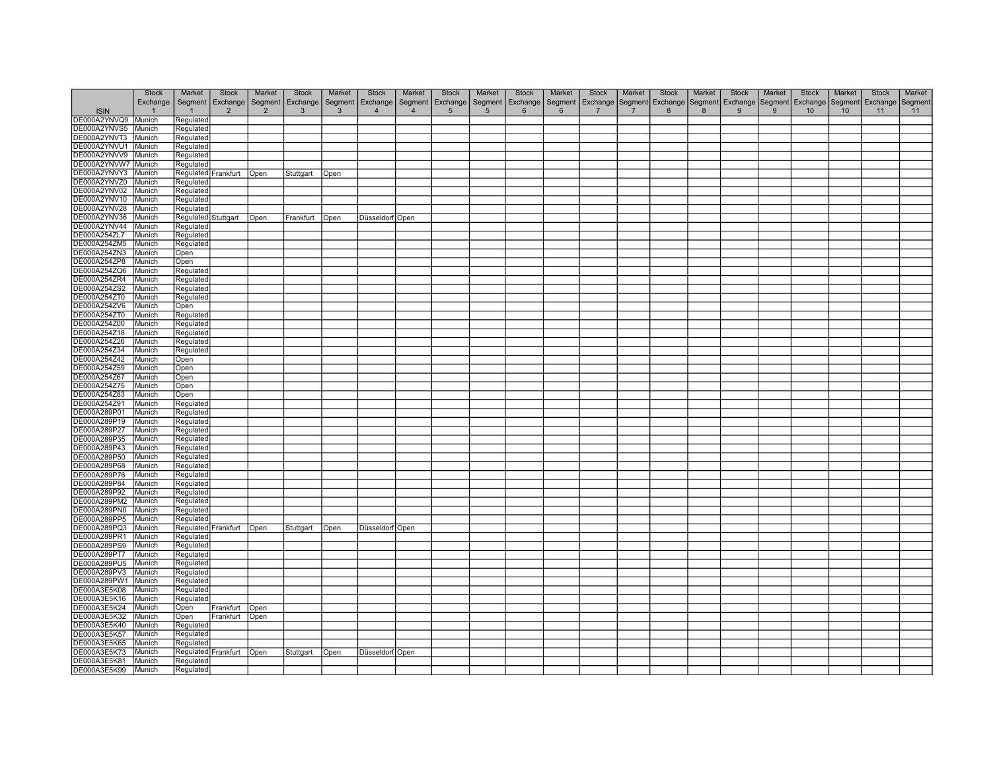|                     | Stock          | Market<br>Stock                  | Market         | <b>Stock</b>       | Market       | <b>Stock</b>             | Market         | <b>Stock</b>    | Market          | Stock       | Market | Stock                                                                                                                                 | Market         | <b>Stock</b> | Market | <b>Stock</b> | Market | Stock           | Market | <b>Stock</b> | Market |
|---------------------|----------------|----------------------------------|----------------|--------------------|--------------|--------------------------|----------------|-----------------|-----------------|-------------|--------|---------------------------------------------------------------------------------------------------------------------------------------|----------------|--------------|--------|--------------|--------|-----------------|--------|--------------|--------|
|                     |                | Exchange   Segment   Exchange    |                | Segment   Exchange |              | Segment Exchange Segment |                | Exchange        |                 |             |        | Segment   Exchange   Segment   Exchange   Segment   Exchange   Segment   Exchange   Segment   Exchange   Segment   Exchange   Segment |                |              |        |              |        |                 |        |              |        |
| <b>ISIN</b>         | $\overline{1}$ | $\overline{2}$<br>$\overline{1}$ | $\overline{2}$ | $\mathbf{3}$       | $\mathbf{3}$ | $\overline{4}$           | $\overline{4}$ | $5\overline{)}$ | $5\overline{5}$ | $6^{\circ}$ | 6      | $\overline{7}$                                                                                                                        | $\overline{7}$ | 8            | 8      | 9            | 9      | 10 <sup>1</sup> | 10     | 11           | 11     |
| DE000A2YNVQ9 Munich |                |                                  |                |                    |              |                          |                |                 |                 |             |        |                                                                                                                                       |                |              |        |              |        |                 |        |              |        |
|                     |                | Regulated                        |                |                    |              |                          |                |                 |                 |             |        |                                                                                                                                       |                |              |        |              |        |                 |        |              |        |
| DE000A2YNVS5        | Munich         | Regulated                        |                |                    |              |                          |                |                 |                 |             |        |                                                                                                                                       |                |              |        |              |        |                 |        |              |        |
| DE000A2YNVT3        | Munich         | Regulated                        |                |                    |              |                          |                |                 |                 |             |        |                                                                                                                                       |                |              |        |              |        |                 |        |              |        |
| DE000A2YNVU1 Munich |                | Regulated                        |                |                    |              |                          |                |                 |                 |             |        |                                                                                                                                       |                |              |        |              |        |                 |        |              |        |
| DE000A2YNVV9        | Munich         | Regulated                        |                |                    |              |                          |                |                 |                 |             |        |                                                                                                                                       |                |              |        |              |        |                 |        |              |        |
| DE000A2YNVW7 Munich |                | Regulated                        |                |                    |              |                          |                |                 |                 |             |        |                                                                                                                                       |                |              |        |              |        |                 |        |              |        |
| DE000A2YNVY3        | Munich         | Regulated Frankfurt   Open       |                | Stuttgart          | Open         |                          |                |                 |                 |             |        |                                                                                                                                       |                |              |        |              |        |                 |        |              |        |
| DE000A2YNVZ0        | Munich         | Regulated                        |                |                    |              |                          |                |                 |                 |             |        |                                                                                                                                       |                |              |        |              |        |                 |        |              |        |
| DE000A2YNV02        |                |                                  |                |                    |              |                          |                |                 |                 |             |        |                                                                                                                                       |                |              |        |              |        |                 |        |              |        |
|                     | Munich         | Regulated                        |                |                    |              |                          |                |                 |                 |             |        |                                                                                                                                       |                |              |        |              |        |                 |        |              |        |
| DE000A2YNV10        | Munich         | Regulated                        |                |                    |              |                          |                |                 |                 |             |        |                                                                                                                                       |                |              |        |              |        |                 |        |              |        |
| DE000A2YNV28        | Munich         | Regulated                        |                |                    |              |                          |                |                 |                 |             |        |                                                                                                                                       |                |              |        |              |        |                 |        |              |        |
| DE000A2YNV36        | Munich         | Regulated Stuttgart Open         |                | Frankfurt   Open   |              | Düsseldorf Open          |                |                 |                 |             |        |                                                                                                                                       |                |              |        |              |        |                 |        |              |        |
| DE000A2YNV44        | Munich         | Regulated                        |                |                    |              |                          |                |                 |                 |             |        |                                                                                                                                       |                |              |        |              |        |                 |        |              |        |
| DE000A254ZL7        | Munich         | Regulated                        |                |                    |              |                          |                |                 |                 |             |        |                                                                                                                                       |                |              |        |              |        |                 |        |              |        |
| DE000A254ZM5        | Munich         | Regulated                        |                |                    |              |                          |                |                 |                 |             |        |                                                                                                                                       |                |              |        |              |        |                 |        |              |        |
| DE000A254ZN3        | Munich         | Open                             |                |                    |              |                          |                |                 |                 |             |        |                                                                                                                                       |                |              |        |              |        |                 |        |              |        |
| DE000A254ZP8        | Munich         |                                  |                |                    |              |                          |                |                 |                 |             |        |                                                                                                                                       |                |              |        |              |        |                 |        |              |        |
|                     |                | Open                             |                |                    |              |                          |                |                 |                 |             |        |                                                                                                                                       |                |              |        |              |        |                 |        |              |        |
| DE000A254ZQ6        | Munich         | Regulated                        |                |                    |              |                          |                |                 |                 |             |        |                                                                                                                                       |                |              |        |              |        |                 |        |              |        |
| DE000A254ZR4        | Munich         | Regulated                        |                |                    |              |                          |                |                 |                 |             |        |                                                                                                                                       |                |              |        |              |        |                 |        |              |        |
| DE000A254ZS2        | Munich         | Regulated                        |                |                    |              |                          |                |                 |                 |             |        |                                                                                                                                       |                |              |        |              |        |                 |        |              |        |
| DE000A254ZT0        | Munich         | Regulated                        |                |                    |              |                          |                |                 |                 |             |        |                                                                                                                                       |                |              |        |              |        |                 |        |              |        |
| DE000A254ZV6        | Munich         | Open                             |                |                    |              |                          |                |                 |                 |             |        |                                                                                                                                       |                |              |        |              |        |                 |        |              |        |
| DE000A254ZT0        | Munich         | Regulated                        |                |                    |              |                          |                |                 |                 |             |        |                                                                                                                                       |                |              |        |              |        |                 |        |              |        |
| DE000A254Z00        | Munich         | Regulated                        |                |                    |              |                          |                |                 |                 |             |        |                                                                                                                                       |                |              |        |              |        |                 |        |              |        |
| DE000A254Z18        | Munich         | Regulated                        |                |                    |              |                          |                |                 |                 |             |        |                                                                                                                                       |                |              |        |              |        |                 |        |              |        |
|                     |                |                                  |                |                    |              |                          |                |                 |                 |             |        |                                                                                                                                       |                |              |        |              |        |                 |        |              |        |
| DE000A254Z26        | Munich         | Regulated                        |                |                    |              |                          |                |                 |                 |             |        |                                                                                                                                       |                |              |        |              |        |                 |        |              |        |
| DE000A254Z34        | Munich         | Regulated                        |                |                    |              |                          |                |                 |                 |             |        |                                                                                                                                       |                |              |        |              |        |                 |        |              |        |
| DE000A254Z42        | Munich         | Open                             |                |                    |              |                          |                |                 |                 |             |        |                                                                                                                                       |                |              |        |              |        |                 |        |              |        |
| DE000A254Z59        | Munich         | Open                             |                |                    |              |                          |                |                 |                 |             |        |                                                                                                                                       |                |              |        |              |        |                 |        |              |        |
| DE000A254Z67        | Munich         | Open                             |                |                    |              |                          |                |                 |                 |             |        |                                                                                                                                       |                |              |        |              |        |                 |        |              |        |
| DE000A254Z75        | Munich         | Open                             |                |                    |              |                          |                |                 |                 |             |        |                                                                                                                                       |                |              |        |              |        |                 |        |              |        |
| DE000A254Z83        | Munich         | Open                             |                |                    |              |                          |                |                 |                 |             |        |                                                                                                                                       |                |              |        |              |        |                 |        |              |        |
| DE000A254Z91        | Munich         | Regulated                        |                |                    |              |                          |                |                 |                 |             |        |                                                                                                                                       |                |              |        |              |        |                 |        |              |        |
| DE000A289P01        | Munich         |                                  |                |                    |              |                          |                |                 |                 |             |        |                                                                                                                                       |                |              |        |              |        |                 |        |              |        |
|                     |                | Regulated                        |                |                    |              |                          |                |                 |                 |             |        |                                                                                                                                       |                |              |        |              |        |                 |        |              |        |
| DE000A289P19        | Munich         | Regulated                        |                |                    |              |                          |                |                 |                 |             |        |                                                                                                                                       |                |              |        |              |        |                 |        |              |        |
| DE000A289P27        | Munich         | Regulated                        |                |                    |              |                          |                |                 |                 |             |        |                                                                                                                                       |                |              |        |              |        |                 |        |              |        |
| DE000A289P35        | Munich         | Regulated                        |                |                    |              |                          |                |                 |                 |             |        |                                                                                                                                       |                |              |        |              |        |                 |        |              |        |
| DE000A289P43        | Munich         | Regulated                        |                |                    |              |                          |                |                 |                 |             |        |                                                                                                                                       |                |              |        |              |        |                 |        |              |        |
| DE000A289P50        | Munich         | Regulated                        |                |                    |              |                          |                |                 |                 |             |        |                                                                                                                                       |                |              |        |              |        |                 |        |              |        |
| DE000A289P68        | Munich         | Regulated                        |                |                    |              |                          |                |                 |                 |             |        |                                                                                                                                       |                |              |        |              |        |                 |        |              |        |
| DE000A289P76        | Munich         | Regulated                        |                |                    |              |                          |                |                 |                 |             |        |                                                                                                                                       |                |              |        |              |        |                 |        |              |        |
| DE000A289P84        | Munich         | Regulated                        |                |                    |              |                          |                |                 |                 |             |        |                                                                                                                                       |                |              |        |              |        |                 |        |              |        |
| DE000A289P92        | Munich         | Regulated                        |                |                    |              |                          |                |                 |                 |             |        |                                                                                                                                       |                |              |        |              |        |                 |        |              |        |
| DE000A289PM2        |                |                                  |                |                    |              |                          |                |                 |                 |             |        |                                                                                                                                       |                |              |        |              |        |                 |        |              |        |
|                     | Munich         | Regulated                        |                |                    |              |                          |                |                 |                 |             |        |                                                                                                                                       |                |              |        |              |        |                 |        |              |        |
| DE000A289PN0        | Munich         | Regulated                        |                |                    |              |                          |                |                 |                 |             |        |                                                                                                                                       |                |              |        |              |        |                 |        |              |        |
| DE000A289PP5        | Munich         | Regulated                        |                |                    |              |                          |                |                 |                 |             |        |                                                                                                                                       |                |              |        |              |        |                 |        |              |        |
| DE000A289PQ3        | Munich         | Regulated Frankfurt Open         |                | Stuttgart          | Open         | Düsseldorf   Open        |                |                 |                 |             |        |                                                                                                                                       |                |              |        |              |        |                 |        |              |        |
| DE000A289PR1        | Munich         | Regulated                        |                |                    |              |                          |                |                 |                 |             |        |                                                                                                                                       |                |              |        |              |        |                 |        |              |        |
| DE000A289PS9        | Munich         | Regulated                        |                |                    |              |                          |                |                 |                 |             |        |                                                                                                                                       |                |              |        |              |        |                 |        |              |        |
| DE000A289PT7        | Munich         | Regulated                        |                |                    |              |                          |                |                 |                 |             |        |                                                                                                                                       |                |              |        |              |        |                 |        |              |        |
| DE000A289PU5        | Munich         | Regulated                        |                |                    |              |                          |                |                 |                 |             |        |                                                                                                                                       |                |              |        |              |        |                 |        |              |        |
| DE000A289PV3        | Munich         | Regulated                        |                |                    |              |                          |                |                 |                 |             |        |                                                                                                                                       |                |              |        |              |        |                 |        |              |        |
|                     |                |                                  |                |                    |              |                          |                |                 |                 |             |        |                                                                                                                                       |                |              |        |              |        |                 |        |              |        |
| DE000A289PW1        | Munich         | Regulated                        |                |                    |              |                          |                |                 |                 |             |        |                                                                                                                                       |                |              |        |              |        |                 |        |              |        |
| DE000A3E5K08        | Munich         | Regulated                        |                |                    |              |                          |                |                 |                 |             |        |                                                                                                                                       |                |              |        |              |        |                 |        |              |        |
| DE000A3E5K16        | Munich         | Regulated                        |                |                    |              |                          |                |                 |                 |             |        |                                                                                                                                       |                |              |        |              |        |                 |        |              |        |
| DE000A3E5K24        | Munich         | Open                             | Frankfurt Open |                    |              |                          |                |                 |                 |             |        |                                                                                                                                       |                |              |        |              |        |                 |        |              |        |
| DE000A3E5K32        | Munich         | Open                             | Frankfurt Open |                    |              |                          |                |                 |                 |             |        |                                                                                                                                       |                |              |        |              |        |                 |        |              |        |
| DE000A3E5K40        | Munich         | Regulated                        |                |                    |              |                          |                |                 |                 |             |        |                                                                                                                                       |                |              |        |              |        |                 |        |              |        |
| DE000A3E5K57        | Munich         | Regulated                        |                |                    |              |                          |                |                 |                 |             |        |                                                                                                                                       |                |              |        |              |        |                 |        |              |        |
| DE000A3E5K65        | Munich         | Regulated                        |                |                    |              |                          |                |                 |                 |             |        |                                                                                                                                       |                |              |        |              |        |                 |        |              |        |
| DE000A3E5K73        |                |                                  |                |                    |              |                          |                |                 |                 |             |        |                                                                                                                                       |                |              |        |              |        |                 |        |              |        |
|                     | Munich         | Regulated Frankfurt   Open       |                | Stuttgart   Open   |              | Düsseldorf Open          |                |                 |                 |             |        |                                                                                                                                       |                |              |        |              |        |                 |        |              |        |
| DE000A3E5K81        | Munich         | Regulated                        |                |                    |              |                          |                |                 |                 |             |        |                                                                                                                                       |                |              |        |              |        |                 |        |              |        |
| DE000A3E5K99        | Munich         | Regulated                        |                |                    |              |                          |                |                 |                 |             |        |                                                                                                                                       |                |              |        |              |        |                 |        |              |        |